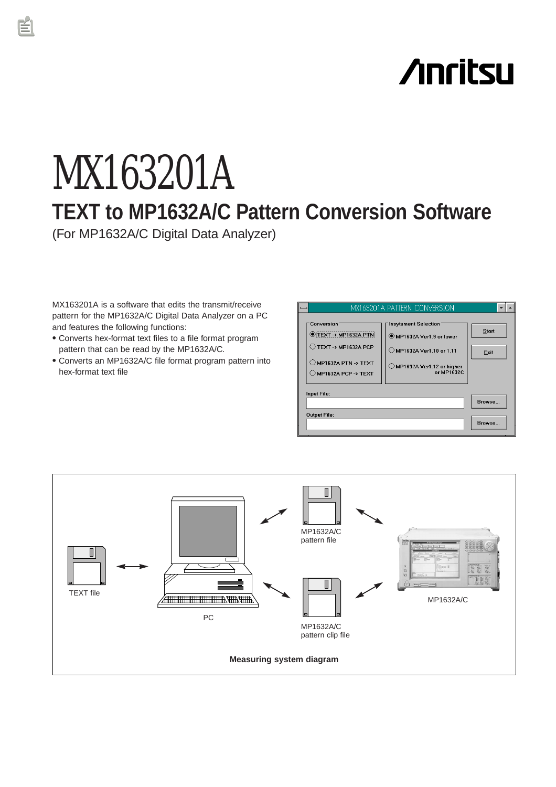# **Anritsu**

# MX163201A **TEXT to MP1632A/C Pattern Conversion Software** (For MP1632A/C Digital Data Analyzer)

MX163201A is a software that edits the transmit/receive pattern for the MP1632A/C Digital Data Analyzer on a PC and features the following functions:

- Converts hex-format text files to a file format program pattern that can be read by the MP1632A/C.
- Converts an MP1632A/C file format program pattern into hex-format text file

|                                                                                                                                               | MX163201A PATTERN CONVERSION                                                                                                   |                      |  |
|-----------------------------------------------------------------------------------------------------------------------------------------------|--------------------------------------------------------------------------------------------------------------------------------|----------------------|--|
| Conversion<br><b>IEXT → MP1632A PTN</b><br>$\bigcirc$ TEXT -> MP1632A PCP<br>$\bigcirc$ MP1632A PTN -> TEXT<br>$\bigcirc$ MP1632A PCP -> TEXT | <b>Insytument Selection</b><br>MP1632A Ver1.9 or lower<br>◯ MP1632A Ver1.10 or 1.11<br>MP1632A Ver1.12 or higher<br>or MP1632C | <b>Start</b><br>Exit |  |
| Input File:                                                                                                                                   |                                                                                                                                |                      |  |
|                                                                                                                                               |                                                                                                                                | Browse               |  |
| <b>Output File:</b>                                                                                                                           | Browse                                                                                                                         |                      |  |